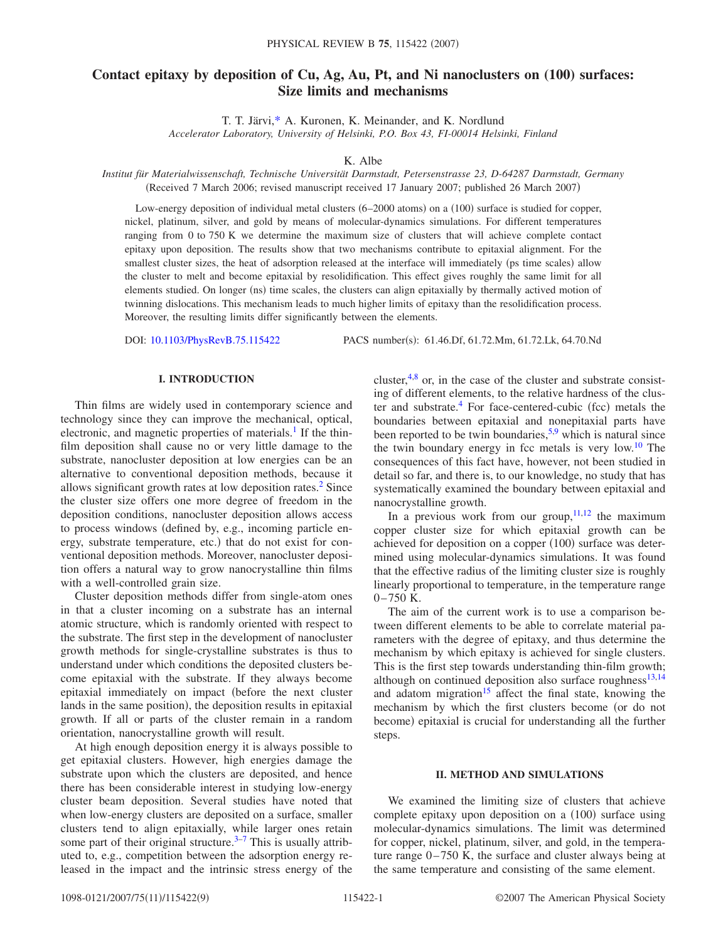# **Contact epitaxy by deposition of Cu, Ag, Au, Pt, and Ni nanoclusters on (100) surfaces: Size limits and mechanisms**

T. T. Järvi[,\\*](#page-8-0) A. Kuronen, K. Meinander, and K. Nordlund

*Accelerator Laboratory, University of Helsinki, P.O. Box 43, FI-00014 Helsinki, Finland*

K. Albe

*Institut für Materialwissenschaft, Technische Universität Darmstadt, Petersenstrasse 23, D-64287 Darmstadt, Germany* (Received 7 March 2006; revised manuscript received 17 January 2007; published 26 March 2007)

Low-energy deposition of individual metal clusters (6–2000 atoms) on a (100) surface is studied for copper, nickel, platinum, silver, and gold by means of molecular-dynamics simulations. For different temperatures ranging from 0 to 750 K we determine the maximum size of clusters that will achieve complete contact epitaxy upon deposition. The results show that two mechanisms contribute to epitaxial alignment. For the smallest cluster sizes, the heat of adsorption released at the interface will immediately (ps time scales) allow the cluster to melt and become epitaxial by resolidification. This effect gives roughly the same limit for all elements studied. On longer (ns) time scales, the clusters can align epitaxially by thermally actived motion of twinning dislocations. This mechanism leads to much higher limits of epitaxy than the resolidification process. Moreover, the resulting limits differ significantly between the elements.

DOI: [10.1103/PhysRevB.75.115422](http://dx.doi.org/10.1103/PhysRevB.75.115422)

PACS number(s): 61.46.Df, 61.72.Mm, 61.72.Lk, 64.70.Nd

# **I. INTRODUCTION**

Thin films are widely used in contemporary science and technology since they can improve the mechanical, optical, electronic, and magnetic properties of materials.<sup>1</sup> If the thinfilm deposition shall cause no or very little damage to the substrate, nanocluster deposition at low energies can be an alternative to conventional deposition methods, because it allows significant growth rates at low deposition rates.<sup>2</sup> Since the cluster size offers one more degree of freedom in the deposition conditions, nanocluster deposition allows access to process windows defined by, e.g., incoming particle energy, substrate temperature, etc.) that do not exist for conventional deposition methods. Moreover, nanocluster deposition offers a natural way to grow nanocrystalline thin films with a well-controlled grain size.

Cluster deposition methods differ from single-atom ones in that a cluster incoming on a substrate has an internal atomic structure, which is randomly oriented with respect to the substrate. The first step in the development of nanocluster growth methods for single-crystalline substrates is thus to understand under which conditions the deposited clusters become epitaxial with the substrate. If they always become epitaxial immediately on impact (before the next cluster lands in the same position), the deposition results in epitaxial growth. If all or parts of the cluster remain in a random orientation, nanocrystalline growth will result.

At high enough deposition energy it is always possible to get epitaxial clusters. However, high energies damage the substrate upon which the clusters are deposited, and hence there has been considerable interest in studying low-energy cluster beam deposition. Several studies have noted that when low-energy clusters are deposited on a surface, smaller clusters tend to align epitaxially, while larger ones retain some part of their original structure. $3-7$  $3-7$  This is usually attributed to, e.g., competition between the adsorption energy released in the impact and the intrinsic stress energy of the

cluster, $4,8$  $4,8$  or, in the case of the cluster and substrate consisting of different elements, to the relative hardness of the cluster and substrate.<sup>4</sup> For face-centered-cubic (fcc) metals the boundaries between epitaxial and nonepitaxial parts have been reported to be twin boundaries,  $5.9$  which is natural since the twin boundary energy in fcc metals is very low.<sup>10</sup> The consequences of this fact have, however, not been studied in detail so far, and there is, to our knowledge, no study that has systematically examined the boundary between epitaxial and nanocrystalline growth.

In a previous work from our group,  $11,12$  $11,12$  the maximum copper cluster size for which epitaxial growth can be achieved for deposition on a copper (100) surface was determined using molecular-dynamics simulations. It was found that the effective radius of the limiting cluster size is roughly linearly proportional to temperature, in the temperature range  $0-750$  K.

The aim of the current work is to use a comparison between different elements to be able to correlate material parameters with the degree of epitaxy, and thus determine the mechanism by which epitaxy is achieved for single clusters. This is the first step towards understanding thin-film growth; although on continued deposition also surface roughness $^{13,14}$  $^{13,14}$  $^{13,14}$ and adatom migration<sup>15</sup> affect the final state, knowing the mechanism by which the first clusters become (or do not become) epitaxial is crucial for understanding all the further steps.

#### **II. METHOD AND SIMULATIONS**

We examined the limiting size of clusters that achieve complete epitaxy upon deposition on a (100) surface using molecular-dynamics simulations. The limit was determined for copper, nickel, platinum, silver, and gold, in the temperature range 0–750 K, the surface and cluster always being at the same temperature and consisting of the same element.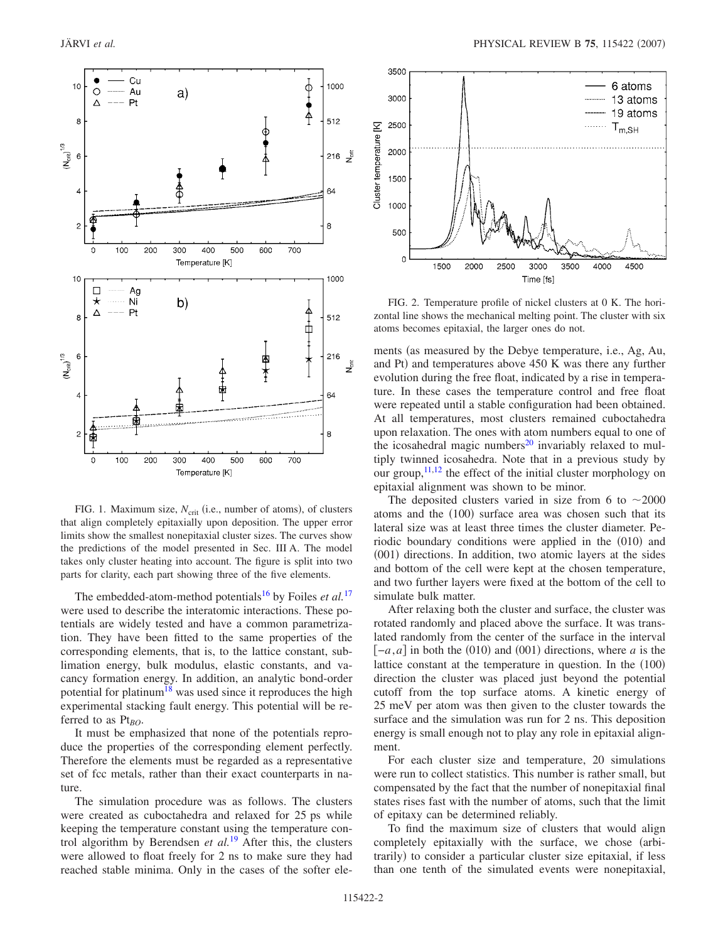<span id="page-1-0"></span>

FIG. 1. Maximum size,  $N_{\text{crit}}$  (i.e., number of atoms), of clusters that align completely epitaxially upon deposition. The upper error limits show the smallest nonepitaxial cluster sizes. The curves show the predictions of the model presented in Sec. III A. The model takes only cluster heating into account. The figure is split into two parts for clarity, each part showing three of the five elements.

The embedded-atom-method potentials<sup>16</sup> by Foiles *et al.*<sup>[17](#page-8-16)</sup> were used to describe the interatomic interactions. These potentials are widely tested and have a common parametrization. They have been fitted to the same properties of the corresponding elements, that is, to the lattice constant, sublimation energy, bulk modulus, elastic constants, and vacancy formation energy. In addition, an analytic bond-order potential for platinum<sup>18</sup> was used since it reproduces the high experimental stacking fault energy. This potential will be referred to as Pt<sub>BO</sub>.

It must be emphasized that none of the potentials reproduce the properties of the corresponding element perfectly. Therefore the elements must be regarded as a representative set of fcc metals, rather than their exact counterparts in nature.

The simulation procedure was as follows. The clusters were created as cuboctahedra and relaxed for 25 ps while keeping the temperature constant using the temperature control algorithm by Berendsen *et al.*[19](#page-8-18) After this, the clusters were allowed to float freely for 2 ns to make sure they had reached stable minima. Only in the cases of the softer ele-

<span id="page-1-1"></span>

FIG. 2. Temperature profile of nickel clusters at 0 K. The horizontal line shows the mechanical melting point. The cluster with six atoms becomes epitaxial, the larger ones do not.

ments (as measured by the Debye temperature, i.e., Ag, Au, and Pt) and temperatures above 450 K was there any further evolution during the free float, indicated by a rise in temperature. In these cases the temperature control and free float were repeated until a stable configuration had been obtained. At all temperatures, most clusters remained cuboctahedra upon relaxation. The ones with atom numbers equal to one of the icosahedral magic numbers $^{20}$  invariably relaxed to multiply twinned icosahedra. Note that in a previous study by our group, $^{11,12}$  $^{11,12}$  $^{11,12}$  the effect of the initial cluster morphology on epitaxial alignment was shown to be minor.

The deposited clusters varied in size from 6 to  $\sim$  2000 atoms and the (100) surface area was chosen such that its lateral size was at least three times the cluster diameter. Periodic boundary conditions were applied in the (010) and (001) directions. In addition, two atomic layers at the sides and bottom of the cell were kept at the chosen temperature, and two further layers were fixed at the bottom of the cell to simulate bulk matter.

After relaxing both the cluster and surface, the cluster was rotated randomly and placed above the surface. It was translated randomly from the center of the surface in the interval  $[-a, a]$  in both the (010) and (001) directions, where *a* is the lattice constant at the temperature in question. In the  $(100)$ direction the cluster was placed just beyond the potential cutoff from the top surface atoms. A kinetic energy of 25 meV per atom was then given to the cluster towards the surface and the simulation was run for 2 ns. This deposition energy is small enough not to play any role in epitaxial alignment.

For each cluster size and temperature, 20 simulations were run to collect statistics. This number is rather small, but compensated by the fact that the number of nonepitaxial final states rises fast with the number of atoms, such that the limit of epitaxy can be determined reliably.

To find the maximum size of clusters that would align completely epitaxially with the surface, we chose (arbitrarily) to consider a particular cluster size epitaxial, if less than one tenth of the simulated events were nonepitaxial,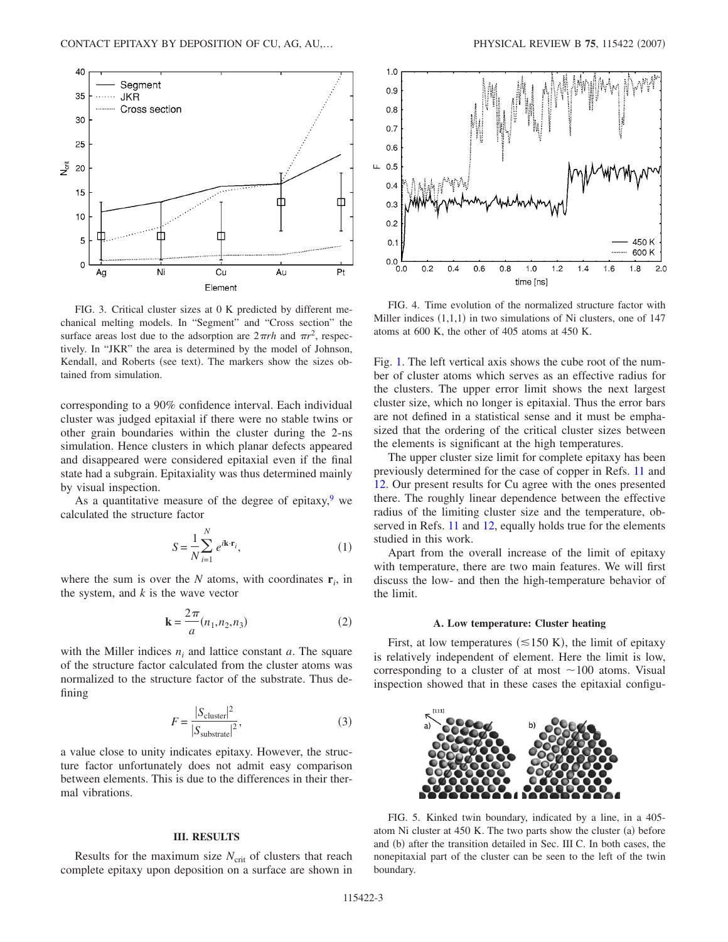<span id="page-2-0"></span>

FIG. 3. Critical cluster sizes at 0 K predicted by different mechanical melting models. In "Segment" and "Cross section" the surface areas lost due to the adsorption are  $2\pi rh$  and  $\pi r^2$ , respectively. In "JKR" the area is determined by the model of Johnson, Kendall, and Roberts (see text). The markers show the sizes obtained from simulation.

corresponding to a 90% confidence interval. Each individual cluster was judged epitaxial if there were no stable twins or other grain boundaries within the cluster during the 2-ns simulation. Hence clusters in which planar defects appeared and disappeared were considered epitaxial even if the final state had a subgrain. Epitaxiality was thus determined mainly by visual inspection.

As a quantitative measure of the degree of epitaxy, $9$  we calculated the structure factor

$$
S = \frac{1}{N} \sum_{i=1}^{N} e^{i\mathbf{k} \cdot \mathbf{r}_i},
$$
 (1)

where the sum is over the  $N$  atoms, with coordinates  $\mathbf{r}_i$ , in the system, and *k* is the wave vector

$$
\mathbf{k} = \frac{2\pi}{a}(n_1, n_2, n_3) \tag{2}
$$

with the Miller indices  $n_i$  and lattice constant  $a$ . The square of the structure factor calculated from the cluster atoms was normalized to the structure factor of the substrate. Thus defining

$$
F = \frac{|S_{\text{cluster}}|^2}{|S_{\text{substrate}}|^2},\tag{3}
$$

<span id="page-2-2"></span>a value close to unity indicates epitaxy. However, the structure factor unfortunately does not admit easy comparison between elements. This is due to the differences in their thermal vibrations.

# **III. RESULTS**

Results for the maximum size  $N_{\text{crit}}$  of clusters that reach complete epitaxy upon deposition on a surface are shown in

<span id="page-2-3"></span>

FIG. 4. Time evolution of the normalized structure factor with Miller indices  $(1,1,1)$  in two simulations of Ni clusters, one of 147 atoms at 600 K, the other of 405 atoms at 450 K.

Fig. [1.](#page-1-0) The left vertical axis shows the cube root of the number of cluster atoms which serves as an effective radius for the clusters. The upper error limit shows the next largest cluster size, which no longer is epitaxial. Thus the error bars are not defined in a statistical sense and it must be emphasized that the ordering of the critical cluster sizes between the elements is significant at the high temperatures.

The upper cluster size limit for complete epitaxy has been previously determined for the case of copper in Refs. [11](#page-8-10) and [12.](#page-8-11) Our present results for Cu agree with the ones presented there. The roughly linear dependence between the effective radius of the limiting cluster size and the temperature, ob-served in Refs. [11](#page-8-10) and [12,](#page-8-11) equally holds true for the elements studied in this work.

Apart from the overall increase of the limit of epitaxy with temperature, there are two main features. We will first discuss the low- and then the high-temperature behavior of the limit.

#### **A. Low temperature: Cluster heating**

First, at low temperatures  $(\leq 150 \text{ K})$ , the limit of epitaxy is relatively independent of element. Here the limit is low, corresponding to a cluster of at most  $\sim$ 100 atoms. Visual inspection showed that in these cases the epitaxial configu-

<span id="page-2-1"></span>

FIG. 5. Kinked twin boundary, indicated by a line, in a 405 atom Ni cluster at 450 K. The two parts show the cluster (a) before and (b) after the transition detailed in Sec. III C. In both cases, the nonepitaxial part of the cluster can be seen to the left of the twin boundary.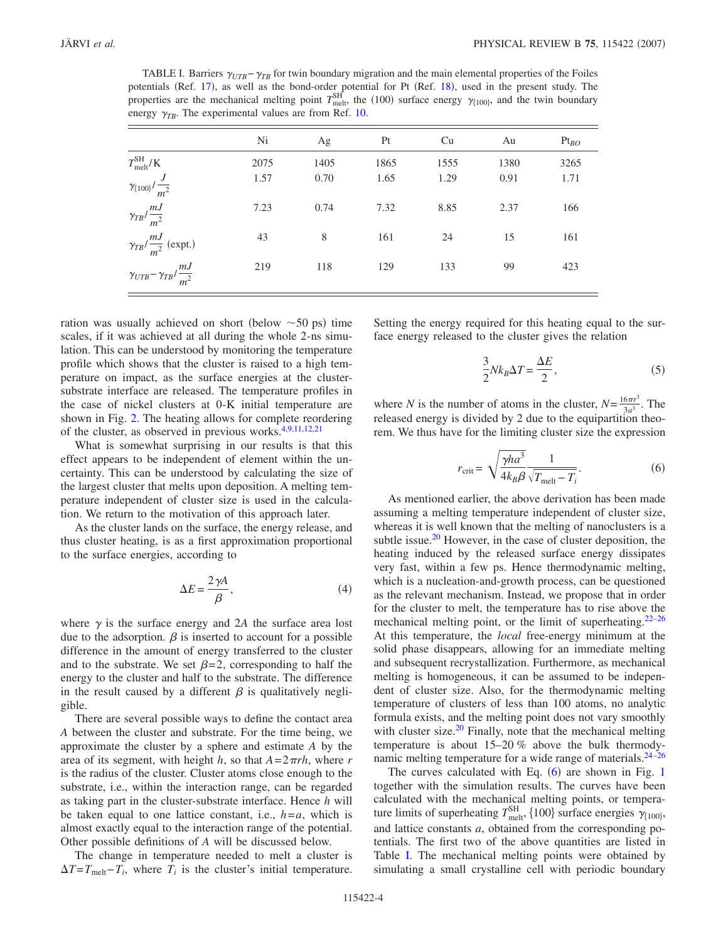<span id="page-3-1"></span>TABLE I. Barriers  $\gamma_{UTB} - \gamma_{TB}$  for twin boundary migration and the main elemental properties of the Foiles potentials (Ref. [17](#page-8-16)), as well as the bond-order potential for Pt (Ref. [18](#page-8-17)), used in the present study. The properties are the mechanical melting point  $T_{\text{melt}}^{\text{SH}}$ , the (100) surface energy  $\gamma_{\{100\}}$ , and the twin boundary energy  $\gamma_{TB}$ . The experimental values are from Ref. [10.](#page-8-9)

|                                               | Ni   | Ag   | Pt   | Cu   | Au   | $Pt_{BO}$ |
|-----------------------------------------------|------|------|------|------|------|-----------|
| $T_{\rm melt}^{\rm SH}/\rm K$                 | 2075 | 1405 | 1865 | 1555 | 1380 | 3265      |
| $\gamma_{\{100\}}/\frac{J}{m^2}$              | 1.57 | 0.70 | 1.65 | 1.29 | 0.91 | 1.71      |
| $\gamma_{TB}/\frac{mJ}{m^2}$                  | 7.23 | 0.74 | 7.32 | 8.85 | 2.37 | 166       |
| $\gamma_{TB}/\frac{mJ}{m^2}$ (expt.)          | 43   | 8    | 161  | 24   | 15   | 161       |
| $\gamma_{UTB} - \gamma_{TB} / \frac{mJ}{m^2}$ | 219  | 118  | 129  | 133  | 99   | 423       |

ration was usually achieved on short (below  $\sim$  50 ps) time scales, if it was achieved at all during the whole 2-ns simulation. This can be understood by monitoring the temperature profile which shows that the cluster is raised to a high temperature on impact, as the surface energies at the clustersubstrate interface are released. The temperature profiles in the case of nickel clusters at 0-K initial temperature are shown in Fig. [2.](#page-1-1) The heating allows for complete reordering of the cluster, as observed in previous works.<sup>4[,9,](#page-8-8)[11,](#page-8-10)[12,](#page-8-11)[21](#page-8-20)</sup>

What is somewhat surprising in our results is that this effect appears to be independent of element within the uncertainty. This can be understood by calculating the size of the largest cluster that melts upon deposition. A melting temperature independent of cluster size is used in the calculation. We return to the motivation of this approach later.

As the cluster lands on the surface, the energy release, and thus cluster heating, is as a first approximation proportional to the surface energies, according to

$$
\Delta E = \frac{2\gamma A}{\beta},\tag{4}
$$

where  $\gamma$  is the surface energy and 2A the surface area lost due to the adsorption.  $\beta$  is inserted to account for a possible difference in the amount of energy transferred to the cluster and to the substrate. We set  $\beta = 2$ , corresponding to half the energy to the cluster and half to the substrate. The difference in the result caused by a different  $\beta$  is qualitatively negligible.

There are several possible ways to define the contact area *A* between the cluster and substrate. For the time being, we approximate the cluster by a sphere and estimate *A* by the area of its segment, with height *h*, so that  $A = 2\pi rh$ , where *r* is the radius of the cluster. Cluster atoms close enough to the substrate, i.e., within the interaction range, can be regarded as taking part in the cluster-substrate interface. Hence *h* will be taken equal to one lattice constant, i.e., *h*=*a*, which is almost exactly equal to the interaction range of the potential. Other possible definitions of *A* will be discussed below.

The change in temperature needed to melt a cluster is  $\Delta T = T_{\text{melt}} - T_i$ , where  $T_i$  is the cluster's initial temperature.

Setting the energy required for this heating equal to the surface energy released to the cluster gives the relation

$$
\frac{3}{2}Nk_B\Delta T = \frac{\Delta E}{2},\tag{5}
$$

where *N* is the number of atoms in the cluster,  $N = \frac{16\pi r^3}{3a^3}$ . The released energy is divided by 2 due to the equipartition theorem. We thus have for the limiting cluster size the expression

$$
r_{\rm crit} = \sqrt{\frac{\gamma h a^3}{4k_B \beta}} \frac{1}{\sqrt{T_{\rm melt} - T_i}}.\tag{6}
$$

<span id="page-3-0"></span>As mentioned earlier, the above derivation has been made assuming a melting temperature independent of cluster size, whereas it is well known that the melting of nanoclusters is a subtle issue. $20$  However, in the case of cluster deposition, the heating induced by the released surface energy dissipates very fast, within a few ps. Hence thermodynamic melting, which is a nucleation-and-growth process, can be questioned as the relevant mechanism. Instead, we propose that in order for the cluster to melt, the temperature has to rise above the mechanical melting point, or the limit of superheating.<sup>22[–26](#page-8-22)</sup> At this temperature, the *local* free-energy minimum at the solid phase disappears, allowing for an immediate melting and subsequent recrystallization. Furthermore, as mechanical melting is homogeneous, it can be assumed to be independent of cluster size. Also, for the thermodynamic melting temperature of clusters of less than 100 atoms, no analytic formula exists, and the melting point does not vary smoothly with cluster size. $20$  Finally, note that the mechanical melting temperature is about 15–20 % above the bulk thermodynamic melting temperature for a wide range of materials.<sup>24-26</sup>

The curves calculated with Eq.  $(6)$  $(6)$  $(6)$  are shown in Fig. [1](#page-1-0) together with the simulation results. The curves have been calculated with the mechanical melting points, or temperature limits of superheating  $T_{\text{melt}}^{\text{SH}}$ , {100} surface energies  $\gamma_{\{100\}}$ , and lattice constants *a*, obtained from the corresponding potentials. The first two of the above quantities are listed in Table [I.](#page-3-1) The mechanical melting points were obtained by simulating a small crystalline cell with periodic boundary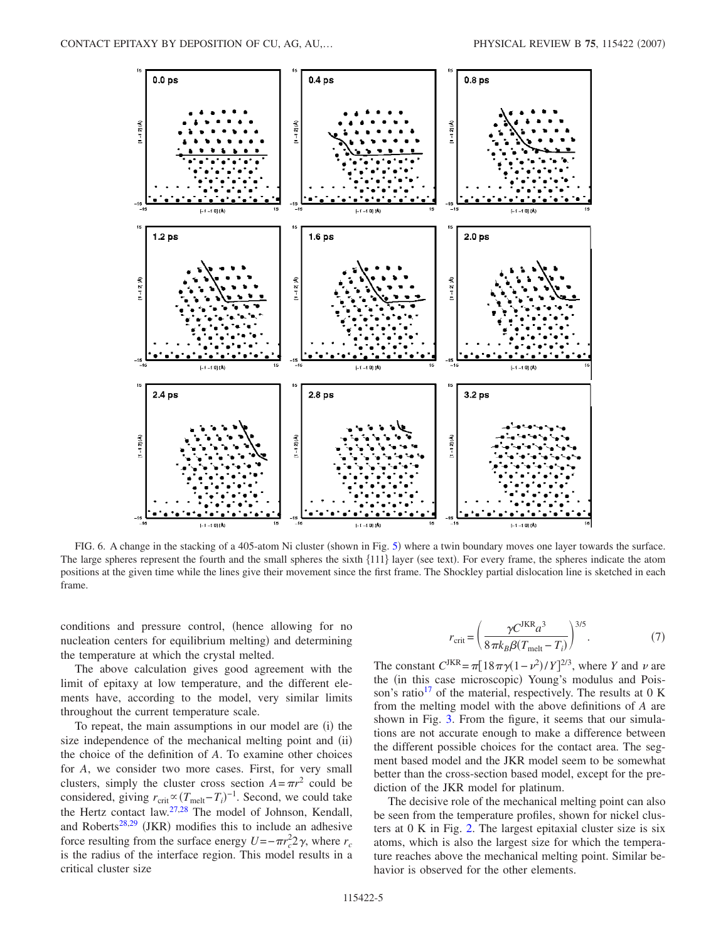<span id="page-4-0"></span>

FIG. 6. A change in the stacking of a 40[5](#page-2-1)-atom Ni cluster (shown in Fig. 5) where a twin boundary moves one layer towards the surface. The large spheres represent the fourth and the small spheres the sixth {111} layer (see text). For every frame, the spheres indicate the atom positions at the given time while the lines give their movement since the first frame. The Shockley partial dislocation line is sketched in each frame.

conditions and pressure control, hence allowing for no nucleation centers for equilibrium melting) and determining the temperature at which the crystal melted.

The above calculation gives good agreement with the limit of epitaxy at low temperature, and the different elements have, according to the model, very similar limits throughout the current temperature scale.

To repeat, the main assumptions in our model are (i) the size independence of the mechanical melting point and (ii) the choice of the definition of *A*. To examine other choices for *A*, we consider two more cases. First, for very small clusters, simply the cluster cross section  $A = \pi r^2$  could be considered, giving  $r_{\text{crit}} \propto (T_{\text{melt}} - T_i)^{-1}$ . Second, we could take the Hertz contact law[.27](#page-8-24)[,28](#page-8-25) The model of Johnson, Kendall, and Roberts<sup>28[,29](#page-8-26)</sup> (JKR) modifies this to include an adhesive force resulting from the surface energy  $U = -\pi r_c^2/2 \gamma$ , where  $r_c$ is the radius of the interface region. This model results in a critical cluster size

$$
r_{\rm crit} = \left(\frac{\gamma C^{\rm JKR}a^3}{8\pi k_B \beta (T_{\rm melt} - T_i)}\right)^{3/5}.\tag{7}
$$

The constant  $C^{JKR} = \pi [18\pi\gamma(1-\nu^2)/\gamma]^{2/3}$ , where *Y* and *v* are the (in this case microscopic) Young's modulus and Pois-son's ratio<sup>[17](#page-8-16)</sup> of the material, respectively. The results at  $0 K$ from the melting model with the above definitions of *A* are shown in Fig. [3.](#page-2-0) From the figure, it seems that our simulations are not accurate enough to make a difference between the different possible choices for the contact area. The segment based model and the JKR model seem to be somewhat better than the cross-section based model, except for the prediction of the JKR model for platinum.

The decisive role of the mechanical melting point can also be seen from the temperature profiles, shown for nickel clusters at 0 K in Fig. [2.](#page-1-1) The largest epitaxial cluster size is six atoms, which is also the largest size for which the temperature reaches above the mechanical melting point. Similar behavior is observed for the other elements.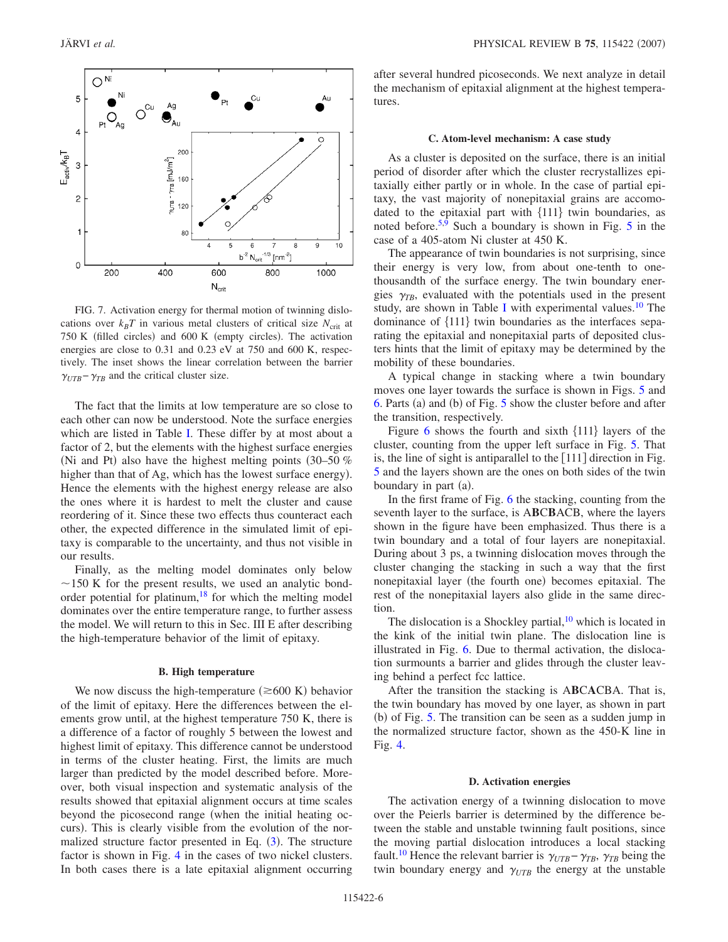<span id="page-5-0"></span>

FIG. 7. Activation energy for thermal motion of twinning dislocations over  $k_B T$  in various metal clusters of critical size  $N_{\text{crit}}$  at 750 K (filled circles) and 600 K (empty circles). The activation energies are close to 0.31 and 0.23 eV at 750 and 600 K, respectively. The inset shows the linear correlation between the barrier  $\gamma_{UTB} - \gamma_{TB}$  and the critical cluster size.

The fact that the limits at low temperature are so close to each other can now be understood. Note the surface energies which are listed in Table [I.](#page-3-1) These differ by at most about a factor of 2, but the elements with the highest surface energies (Ni and Pt) also have the highest melting points  $(30-50\%$ higher than that of Ag, which has the lowest surface energy). Hence the elements with the highest energy release are also the ones where it is hardest to melt the cluster and cause reordering of it. Since these two effects thus counteract each other, the expected difference in the simulated limit of epitaxy is comparable to the uncertainty, and thus not visible in our results.

Finally, as the melting model dominates only below  $\sim$ 150 K for the present results, we used an analytic bondorder potential for platinum, $18$  for which the melting model dominates over the entire temperature range, to further assess the model. We will return to this in Sec. III E after describing the high-temperature behavior of the limit of epitaxy.

## **B. High temperature**

We now discuss the high-temperature  $(\geq 600 \text{ K})$  behavior of the limit of epitaxy. Here the differences between the elements grow until, at the highest temperature 750 K, there is a difference of a factor of roughly 5 between the lowest and highest limit of epitaxy. This difference cannot be understood in terms of the cluster heating. First, the limits are much larger than predicted by the model described before. Moreover, both visual inspection and systematic analysis of the results showed that epitaxial alignment occurs at time scales beyond the picosecond range (when the initial heating occurs). This is clearly visible from the evolution of the normalized structure factor presented in Eq.  $(3)$  $(3)$  $(3)$ . The structure factor is shown in Fig. [4](#page-2-3) in the cases of two nickel clusters. In both cases there is a late epitaxial alignment occurring after several hundred picoseconds. We next analyze in detail the mechanism of epitaxial alignment at the highest temperatures.

## **C. Atom-level mechanism: A case study**

As a cluster is deposited on the surface, there is an initial period of disorder after which the cluster recrystallizes epitaxially either partly or in whole. In the case of partial epitaxy, the vast majority of nonepitaxial grains are accomodated to the epitaxial part with  ${111}$  twin boundaries, as noted before.<sup>5,[9](#page-8-8)</sup> Such a boundary is shown in Fig.  $5$  in the case of a 405-atom Ni cluster at 450 K.

The appearance of twin boundaries is not surprising, since their energy is very low, from about one-tenth to onethousandth of the surface energy. The twin boundary energies  $\gamma_{TB}$ , evaluated with the potentials used in the present study, are shown in Table [I](#page-3-1) with experimental values.<sup>10</sup> The dominance of  ${111}$  twin boundaries as the interfaces separating the epitaxial and nonepitaxial parts of deposited clusters hints that the limit of epitaxy may be determined by the mobility of these boundaries.

A typical change in stacking where a twin boundary moves one layer towards the surface is shown in Figs. [5](#page-2-1) and  $6.$  Parts (a) and (b) of Fig.  $5$  show the cluster before and after the transition, respectively.

Figure  $6$  shows the fourth and sixth  $\{111\}$  layers of the cluster, counting from the upper left surface in Fig. [5.](#page-2-1) That is, the line of sight is antiparallel to the  $[111]$  direction in Fig. [5](#page-2-1) and the layers shown are the ones on both sides of the twin boundary in part (a).

In the first frame of Fig. [6](#page-4-0) the stacking, counting from the seventh layer to the surface, is A**B**C**B**ACB, where the layers shown in the figure have been emphasized. Thus there is a twin boundary and a total of four layers are nonepitaxial. During about 3 ps, a twinning dislocation moves through the cluster changing the stacking in such a way that the first nonepitaxial layer (the fourth one) becomes epitaxial. The rest of the nonepitaxial layers also glide in the same direction.

The dislocation is a Shockley partial,  $10$  which is located in the kink of the initial twin plane. The dislocation line is illustrated in Fig. [6.](#page-4-0) Due to thermal activation, the dislocation surmounts a barrier and glides through the cluster leaving behind a perfect fcc lattice.

After the transition the stacking is A**B**C**A**CBA. That is, the twin boundary has moved by one layer, as shown in part (b) of Fig. [5.](#page-2-1) The transition can be seen as a sudden jump in the normalized structure factor, shown as the 450-K line in Fig. [4.](#page-2-3)

#### **D. Activation energies**

The activation energy of a twinning dislocation to move over the Peierls barrier is determined by the difference between the stable and unstable twinning fault positions, since the moving partial dislocation introduces a local stacking fault.<sup>10</sup> Hence the relevant barrier is  $\gamma_{UTB} - \gamma_{TB}$ ,  $\gamma_{TB}$  being the twin boundary energy and  $\gamma_{UTB}$  the energy at the unstable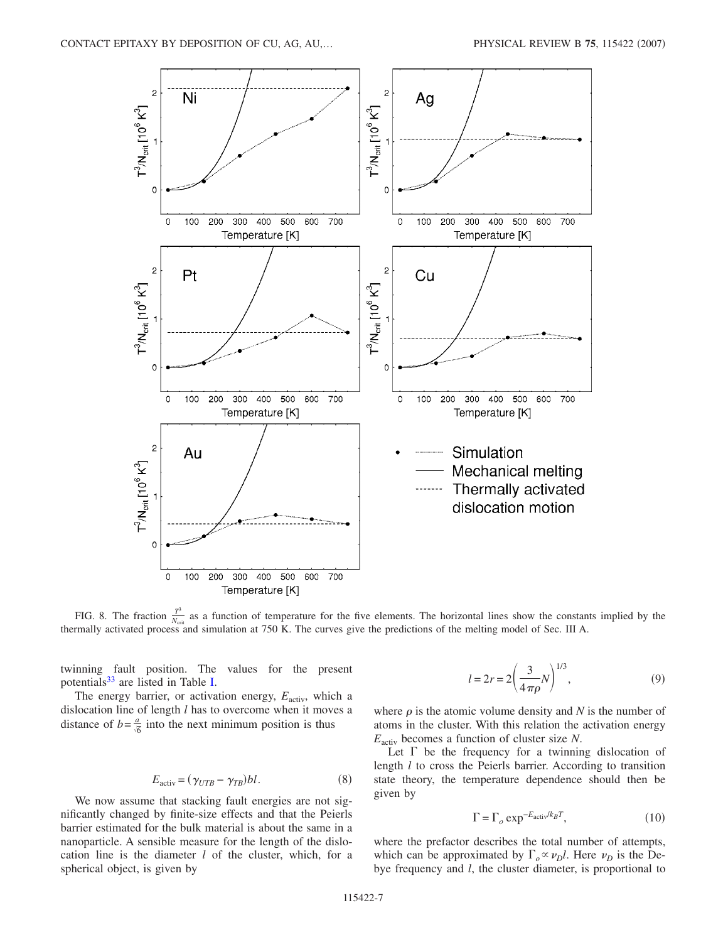<span id="page-6-2"></span>

FIG. 8. The fraction  $\frac{T^3}{N_{\text{crit}}}$  as a function of temperature for the five elements. The horizontal lines show the constants implied by the thermally activated process and simulation at 750 K. The curves give the predictions of the melting model of Sec. III A.

twinning fault position. The values for the present potentials<sup>33</sup> are listed in Table [I.](#page-3-1)

The energy barrier, or activation energy,  $E_{\text{activity}}$ , which a dislocation line of length *l* has to overcome when it moves a distance of  $b = \frac{a}{\sqrt{6}}$  into the next minimum position is thus

$$
E_{\text{activ}} = (\gamma_{UTB} - \gamma_{TB})bl. \tag{8}
$$

<span id="page-6-1"></span>We now assume that stacking fault energies are not significantly changed by finite-size effects and that the Peierls barrier estimated for the bulk material is about the same in a nanoparticle. A sensible measure for the length of the dislocation line is the diameter *l* of the cluster, which, for a spherical object, is given by

$$
l = 2r = 2\left(\frac{3}{4\pi\rho}N\right)^{1/3},
$$
\n(9)

<span id="page-6-0"></span>where  $\rho$  is the atomic volume density and *N* is the number of atoms in the cluster. With this relation the activation energy *E*activ becomes a function of cluster size *N*.

Let  $\Gamma$  be the frequency for a twinning dislocation of length *l* to cross the Peierls barrier. According to transition state theory, the temperature dependence should then be given by

$$
\Gamma = \Gamma_o \exp^{-E_{\text{activ}}/k_B T},\tag{10}
$$

where the prefactor describes the total number of attempts, which can be approximated by  $\Gamma_o \propto \nu_D l$ . Here  $\nu_D$  is the Debye frequency and *l*, the cluster diameter, is proportional to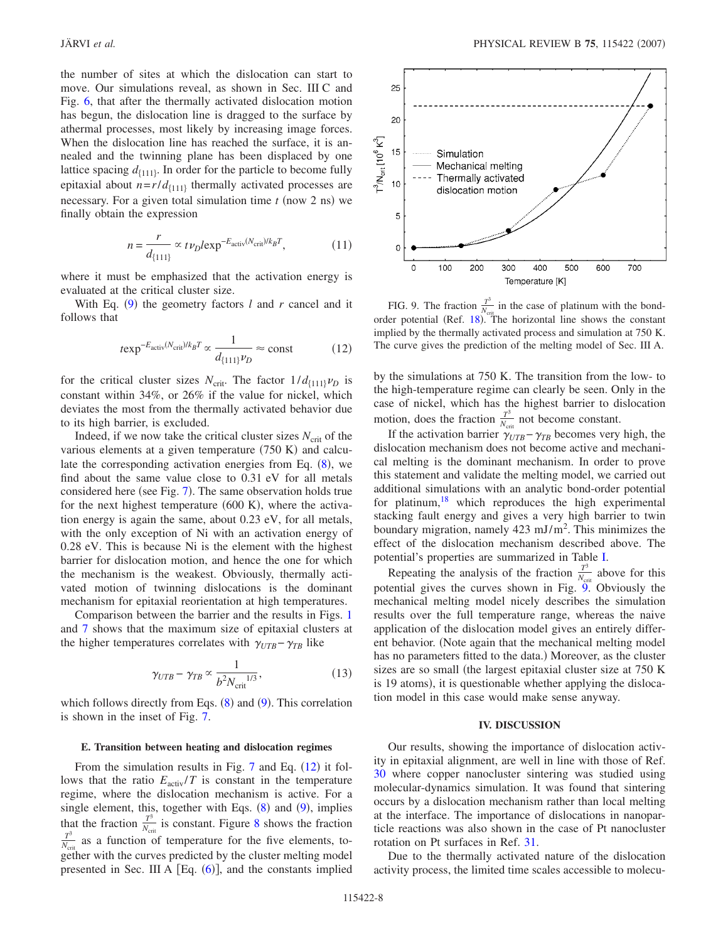the number of sites at which the dislocation can start to move. Our simulations reveal, as shown in Sec. III C and Fig. [6,](#page-4-0) that after the thermally activated dislocation motion has begun, the dislocation line is dragged to the surface by athermal processes, most likely by increasing image forces. When the dislocation line has reached the surface, it is annealed and the twinning plane has been displaced by one lattice spacing  $d_{\{111\}}$ . In order for the particle to become fully epitaxial about  $n = r/d_{\{111\}}$  thermally activated processes are necessary. For a given total simulation time  $t$  (now  $2$  ns) we finally obtain the expression

$$
n = \frac{r}{d_{\{111\}}} \propto t \nu_D l \exp^{-E_{\text{activ}}(N_{\text{crit}})/k_B T},
$$
 (11)

where it must be emphasized that the activation energy is evaluated at the critical cluster size.

<span id="page-7-0"></span>With Eq.  $(9)$  $(9)$  $(9)$  the geometry factors *l* and *r* cancel and it follows that

$$
t \exp^{-E_{\text{activity}}(N_{\text{crit}})/k_B T} \propto \frac{1}{d_{\{111\}} \nu_D} \approx \text{const}
$$
 (12)

for the critical cluster sizes  $N_{\text{crit}}$ . The factor  $1/d_{\{111\}}\nu_D$  is constant within 34%, or 26% if the value for nickel, which deviates the most from the thermally activated behavior due to its high barrier, is excluded.

Indeed, if we now take the critical cluster sizes  $N_{\text{crit}}$  of the various elements at a given temperature  $(750 \text{ K})$  and calculate the corresponding activation energies from Eq.  $(8)$  $(8)$  $(8)$ , we find about the same value close to 0.31 eV for all metals considered here (see Fig. [7](#page-5-0)). The same observation holds true for the next highest temperature  $(600 \text{ K})$ , where the activation energy is again the same, about 0.23 eV, for all metals, with the only exception of Ni with an activation energy of 0.28 eV. This is because Ni is the element with the highest barrier for dislocation motion, and hence the one for which the mechanism is the weakest. Obviously, thermally activated motion of twinning dislocations is the dominant mechanism for epitaxial reorientation at high temperatures.

Comparison between the barrier and the results in Figs. [1](#page-1-0) and [7](#page-5-0) shows that the maximum size of epitaxial clusters at the higher temperatures correlates with  $\gamma_{UTB} - \gamma_{TB}$  like

$$
\gamma_{UTB} - \gamma_{TB} \propto \frac{1}{b^2 N_{\text{crit}}^{1/3}},\tag{13}
$$

which follows directly from Eqs.  $(8)$  $(8)$  $(8)$  and  $(9)$  $(9)$  $(9)$ . This correlation is shown in the inset of Fig. [7.](#page-5-0)

#### **E. Transition between heating and dislocation regimes**

From the simulation results in Fig.  $7$  and Eq.  $(12)$  $(12)$  $(12)$  it follows that the ratio  $E_{\text{activity}}/T$  is constant in the temperature regime, where the dislocation mechanism is active. For a single element, this, together with Eqs.  $(8)$  $(8)$  $(8)$  and  $(9)$  $(9)$  $(9)$ , implies that the fraction  $\frac{T^3}{N_{\text{crit}}}$  is constant. Figure [8](#page-6-2) shows the fraction  $\frac{T^3}{N_{\text{crit}}}$  are a function of temperature for the five elements, to  $\frac{T^3}{N_{\text{crit}}}$  as a function of temperature for the five elements, together with the curves predicted by the cluster melting model presented in Sec. III A  $[Eq. (6)]$  $[Eq. (6)]$  $[Eq. (6)]$ , and the constants implied

<span id="page-7-1"></span>

FIG. 9. The fraction  $\frac{T^3}{N_{\text{crit}}}$  in the case of platinum with the bond-order potential (Ref. [18](#page-8-17)). The horizontal line shows the constant implied by the thermally activated process and simulation at 750 K. The curve gives the prediction of the melting model of Sec. III A.

by the simulations at 750 K. The transition from the low- to the high-temperature regime can clearly be seen. Only in the case of nickel, which has the highest barrier to dislocation motion, does the fraction  $\frac{T^3}{N_{\text{crit}}}$  not become constant.

If the activation barrier  $\gamma_{UTB} - \gamma_{TB}$  becomes very high, the dislocation mechanism does not become active and mechanical melting is the dominant mechanism. In order to prove this statement and validate the melting model, we carried out additional simulations with an analytic bond-order potential for platinum, $18$  which reproduces the high experimental stacking fault energy and gives a very high barrier to twin boundary migration, namely 423 mJ/m<sup>2</sup>. This minimizes the effect of the dislocation mechanism described above. The potential's properties are summarized in Table [I.](#page-3-1)

Repeating the analysis of the fraction  $\frac{T^3}{N_{\text{crit}}}$  above for this potential gives the curves shown in Fig. [9.](#page-7-1) Obviously the mechanical melting model nicely describes the simulation results over the full temperature range, whereas the naive application of the dislocation model gives an entirely different behavior. Note again that the mechanical melting model has no parameters fitted to the data.) Moreover, as the cluster sizes are so small (the largest epitaxial cluster size at 750 K is 19 atoms), it is questionable whether applying the dislocation model in this case would make sense anyway.

## **IV. DISCUSSION**

Our results, showing the importance of dislocation activity in epitaxial alignment, are well in line with those of Ref. [30](#page-8-28) where copper nanocluster sintering was studied using molecular-dynamics simulation. It was found that sintering occurs by a dislocation mechanism rather than local melting at the interface. The importance of dislocations in nanoparticle reactions was also shown in the case of Pt nanocluster rotation on Pt surfaces in Ref. [31.](#page-8-29)

Due to the thermally activated nature of the dislocation activity process, the limited time scales accessible to molecu